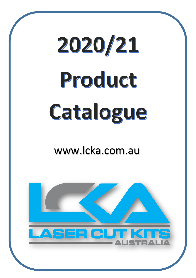# 2020/21 Product Catalogue

## www.lcka.com.au

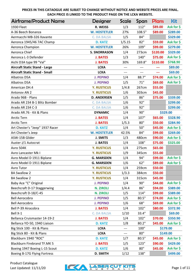| <b>Airframe/Product Name</b>         | Designer            | <b>Scale</b>             | Span   | <b>Plans</b> | Kit        |
|--------------------------------------|---------------------|--------------------------|--------|--------------|------------|
| <b>1930 Fleet</b>                    | R. WEISS            | 1/3                      | 112"   | \$89.00      | Ask for \$ |
| A-36 Beech Bonanza                   | <b>W. HOSTETLER</b> | 27%                      | 108.5" | \$89.00      | \$289.00   |
| Aermacchi MB-326 Xavante             | <b>C. DA BALSA</b>  | 1/5                      | 84"    |              | \$329.00   |
| Aeronca 1945/46 7AC Champ            | <b>D. KATZ</b>      | 1/5.15                   | 82"    | \$59.00      | Ask for \$ |
| Aeronca Champion                     | <b>W. HOSTETLER</b> | 26%                      | 109"   | \$99.00      | \$279.00   |
| Aeronca Chief                        | <b>S. SNORRASON</b> | 1/4                      | 273cm  | \$120.00     | \$329.00   |
| Aeronca L-3 Defender                 | <b>J. BATES</b>     | 1/3                      | 140"   | \$75.00      | Ask for \$ |
| Aichi D3A type 99 "Val"              | <b>J. BATES</b>     | 30%                      | 169.8" | \$110.00     | \$768.90   |
| <b>Aircraft Static Stand - Large</b> | <b>LCKA</b>         | ---                      | $---$  |              | \$89.00    |
| <b>Aircraft Static Stand - Small</b> | <b>LCKA</b>         | ---                      | ---    | ---          | \$69.00    |
| Albatros D5A                         | <b>J. PEPINO</b>    | 1/4                      | 88.7"  | \$74.00      | Ask for \$ |
| Albatros D5A                         | <b>J. PEPINO</b>    | 1/5                      | 71"    | \$69.00      | Ask for \$ |
| American DH.4                        | <b>Y. RUSTICUS</b>  | 1/4.8                    | 267cm  | \$55.00      |            |
| Antonov AN 2                         | <b>Y. RUSTICUS</b>  | 1/6                      | 303cm  | \$45.00      |            |
| Arado 96B - Plans                    | <b>D. ANDERSEN</b>  | 1/5                      | 86"    | \$75.00      | \$339.00   |
| Arado AR 234 B-1 Blitz Bomber        | <b>C. DA BALSA</b>  | 1/6                      | 92"    |              | \$299.00   |
| Arado AR 234 C-3                     | <b>C. DA BALSA</b>  | 1/6                      | 92"    |              | \$299.00   |
| Arado AR.76 - Kit & Plans            | <b>DYNAMIC</b>      | 1/4                      | 90"    |              | \$329.00   |
| <b>Arctic Tern</b>                   | <b>J. BATES</b>     | 1/4                      | 107"   | \$65.00      | \$328.90   |
| <b>Arctic Tern</b>                   | <b>J. BATES</b>     | 1/5.3                    | 80"    | \$50.00      | \$284.90   |
| Art Chester's "Jeep" 1937 Racer      | <b>D. KATZ</b>      | 1/4                      | 50"    | \$45.00      | Ask for \$ |
| Art Chester's Jeep                   | <b>W. HOSTETLER</b> | 42.5%                    | 84"    | \$99.00      | \$269.00   |
| ASW-15B Glider                       | <b>J. SMITS</b>     | 1/3                      | 480cm  | \$90.00      | Ask for \$ |
| Auster J/1 Autocrat                  | <b>J. BATES</b>     | 1/4                      | 108"   | \$75.00      | \$325.00   |
| Avro 504K                            | <b>Y. RUSTICUS</b>  | 1/4                      | 275cm  | \$65.00      |            |
| Avro Lancaster Mk I                  | <b>Y. RUSTICUS</b>  | 1/9                      | 345cm  | \$55.00      |            |
| Avro Model D 1911 Biplane            | <b>G. MARSDEN</b>   | 1/4                      | 94"    | \$99.00      | Ask for \$ |
| Avro Model D 1911 Biplane            | <b>G. MARSDEN</b>   | 1/6                      | 62"    | \$89.00      | Ask for \$ |
| Avro Tutor                           | <b>Y. RUSTICUS</b>  | 1/4                      | 259cm  | \$50.00      |            |
| <b>BA Swallow 2</b>                  | <b>Y. RUSTICUS</b>  | 1/3.3                    | 384cm  | \$50.00      |            |
| <b>BA Swallow 2</b>                  | <b>Y. RUSTICUS</b>  | 1/4                      | 315cm  | \$45.00      |            |
| Baby Ace "C" Original                | <b>J. PEPINO</b>    | 1/4                      | 90"    | \$44.00      | Ask for \$ |
| Beechcraft D-17 Staggerwing          | <b>N. ZIROLI</b>    | 1/4.4                    | 86"    | \$94.00      | \$389.00   |
| Beechcraft D-18/C-45                 | <b>N. ZIROLI</b>    | 1/5                      | 114"   | \$99.00      | \$389.00   |
| <b>Bell Aerocobra</b>                | <b>J. PEPINO</b>    | 1/5                      | 80.5"  | \$74.00      | Ask for \$ |
| <b>Bell Aerocobra</b>                | <b>J. PEPINO</b>    | 1/6                      | 68"    | \$69.00      | Ask for \$ |
| Bell P-39 Airacobra                  | <b>J. BATES</b>     | 1/4                      | 102"   | \$80.00      | \$372.90   |
| Bell X-1                             | <b>C. DA BALSA</b>  | 1/10                     | 33.4"  |              | \$69.00    |
| Bellanca Cruismaster 14-19-2         | <b>J. BATES</b>     | 1/4                      | 102"   | \$70.00      | \$350.90   |
| Bellanca YO-50, 1940 Liaison         | <b>D. KATZ</b>      | 1/8                      | 80.2"  | \$45.00      | Ask for \$ |
| Big Stick 100 - Kit & Plans          | <b>LCKA</b>         | $\hspace{0.05cm} \ldots$ | 100"   |              | \$179.00   |
| Big Stick 80 - Kit & Plans           | <b>LCKA</b>         |                          | 80"    |              | \$149.00   |
| Blackburn 1940 "ROC"                 | <b>D. KATZ</b>      | 1/7                      | 80.5"  | \$45.00      | Ask for \$ |
| <b>Blackburn Firebrand TF.MK 5</b>   | <b>J. BATES</b>     | 1/5                      | 123"   | \$90.00      | \$429.00   |
| Boeing 1947 Boeing L-15 Scout        | <b>D. KATZ</b>      | 1/6                      | 80"    | \$45.00      | Ask for \$ |
| Boeing B-17G Flying Fortress         | <b>D. SMITH</b>     | 1/12                     | 138"   |              | \$499.00   |

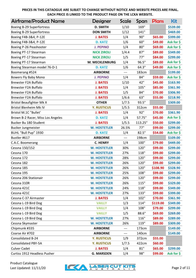| <b>Airframe/Product Name</b>      | <b>Designer</b>       | Scale               | Span    | <b>Plans</b> | <b>Kit</b> |
|-----------------------------------|-----------------------|---------------------|---------|--------------|------------|
| Boeing B-29 Superfortress         | <b>D. SMITH</b>       | 1/10                | 169"    |              | \$539.00   |
| Boeing B-29 Superfortress         | <b>DON SMITH</b>      | 1/12                | 141"    |              | \$469.00   |
| Boeing F4B-3&4, P-12E             | <b>J. BATES</b>       | 1/4                 | 90"     | \$65.00      | \$399.00   |
| Boeing F4B-3&4, P-12E             | <b>D. KATZ</b>        | 1/6                 | 60"     | \$49.00      | Ask for \$ |
| Boeing P-26 Peashooter            | <b>J. PEPINO</b>      | 1/4                 | 80"     | \$69.00      | Ask for \$ |
| Boeing PT-17 Stearman             | <b>NICK ZIROLI</b>    | 1/4.4               | 87"     | \$89.00      | \$349.00   |
| Boeing PT-17 Stearman             | <b>NICK ZIROLI</b>    | 1/5                 | 77"     | \$84.00      | \$299.00   |
| Boeing PT-17 Stearman             | <b>M. MECKLENBURG</b> | 1/4                 | 96.5"   | \$89.00      | Ask for \$ |
| Boeing Stearman model 76-D-1      | <b>D. KATZ</b>        | 1/6                 | 64.3"   | \$49.00      | Ask for \$ |
| Boomerang #524                    | <b>AIRBORNE</b>       | $\qquad \qquad - -$ | 183cm   |              | \$199.00   |
| Bowers Fly Baby Mono              | <b>J. PEPINO</b>      | 1/4                 | 84"     | \$59.00      | Ask for \$ |
| <b>Brewster F2A Buffalo</b>       | <b>J. BATES</b>       | 1/10                | 42"     | \$45.00      | \$163.90   |
| <b>Brewster F2A Buffalo</b>       | <b>J. BATES</b>       | 1/4                 | 105"    | \$85.00      | \$361.90   |
| <b>Brewster F2A Buffalo</b>       | <b>J. BATES</b>       | 1/5                 | 84"     | \$70.00      | \$306.90   |
| <b>Brewster F2A Buffalo</b>       | <b>J. BATES</b>       | 1/6.6               | 63"     | \$55.00      | \$218.90   |
| <b>Bristol Beaufighter Mk X</b>   | <b>OTHER</b>          | 1/7.5               | 93.5"   |              | \$309.00   |
| <b>Bristol Blenheim Mk IV</b>     | <b>Y. RUSTICUS</b>    | 1/5.5               | 312cm   | \$55.00      |            |
| <b>Bristol M.1C "Bullet"</b>      | <b>J. BATES</b>       | 1/4                 | 92"     | \$70.00      | \$361.90   |
| Brown B-2 Racer, Miss Los Angeles | <b>D. KATZ</b>        | 1/4                 | 57.75"  | \$45.00      | Ask for \$ |
| Bucker Bu 180 Student             | <b>J. BATES</b>       | 1/5.5               | 113.25" | \$50.00      | \$299.00   |
| <b>Bucker Jungmeister</b>         | <b>W. HOSTETLER</b>   | 26.5%               | 77"     | \$99.00      | \$299.00   |
| BUHL "Bull Pup" 1930              | <b>D. KATZ</b>        | 1/4                 | 82.5"   | \$54.00      | Ask for \$ |
| Bustler #617                      | <b>AIRBORNE</b>       | $---$               | 198cm   |              | \$109.00   |
| C.A.C. Boomerang                  | <b>C. HENRY</b>       | 1/4                 | 100"    | \$79.00      | \$449.00   |
| Cessna 150/152                    | <b>W. HOSTETLER</b>   | 30%                 | 120"    | \$99.00      | \$299.00   |
| Cessna 170                        | <b>W. HOSTETLER</b>   | 27%                 | 118"    | \$99.00      | \$299.00   |
| Cessna 172                        | <b>W. HOSTETLER</b>   | 28%                 | 120"    | \$99.00      | \$299.00   |
| Cessna 182                        | <b>W. HOSTETLER</b>   | 26%                 | 120"    | \$99.00      | \$299.00   |
| Cessna 185                        | <b>W. HOSTETLER</b>   | 26%                 | 120"    | \$108.90     | \$328.90   |
| Cessna 195                        | <b>W. HOSTETLER</b>   | 25%                 | 108"    | \$99.00      | \$299.00   |
| Cessna 206 Stationair             | <b>W. HOSTETLER</b>   | 26%                 | 120"    | \$99.00      | \$299.00   |
| Cessna 310R                       | <b>W. HOSTETLER</b>   | 26%                 | 115"    | \$99.00      | \$329.00   |
| Cessna 421C                       | <b>W. HOSTETLER</b>   | 24%                 | 118"    | \$99.00      | \$349.00   |
| Cessna 421C                       | <b>W. HOSTETLER</b>   | 27%                 | 133"    | \$99.00      | \$399.00   |
| Cessna C-37 Airmaster             | <b>J. BATES</b>       | 1/4                 | 102"    | \$70.00      | \$361.90   |
| Cessna L-19 Bird Dog              | <b>VAILLY</b>         | 1/3                 | 114"    | \$119.00     | \$349.00   |
| Cessna L-19 Bird Dog              | <b>VAILLY</b>         | 1/4                 | 108"    | \$79.00      | \$299.00   |
| Cessna L-19 Bird Dog              | <b>VAILLY</b>         | 1/5                 | 88.6"   | \$69.00      | \$269.00   |
| Cessna L-19 Bird Dog              | <b>W. HOSTETLER</b>   | 27%                 | 116"    | \$89.00      | \$289.00   |
| Cessna Skymaster                  | <b>W. HOSTETLER</b>   | 26%                 | 119"    | \$89.00      | \$309.00   |
| Chipmunk #335                     | <b>AIRBORNE</b>       | ---                 | 173cm   |              | \$149.00   |
| Coarse Air #702                   | <b>AIRBORNE</b>       | ---                 | 140cm   |              | \$149.00   |
| Consolidated B-24                 | <b>Y. RUSTICUS</b>    | 1/9                 | 372cm   | \$55.00      |            |
| <b>Consolidated PBY-5A</b>        | <b>Y. RUSTICUS</b>    | 1/7.5               | 422cm   | \$60.00      |            |
| <b>Culver Cadet</b>               | <b>J. BATES</b>       | 1/4                 | 81"     | \$65.00      | \$299.00   |
| Curtiss 1912 Headless Pusher      | <b>G. MARSDEN</b>     | 1/4                 | 98"     | \$99.00      | Ask for \$ |

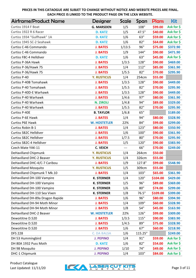| <b>Airframe/Product Name</b>     | <b>Designer</b>     | Scale  | Span    | <b>Plans</b> | Kit        |
|----------------------------------|---------------------|--------|---------|--------------|------------|
| Curtiss 1914 F Boat              | <b>G. MARSDEN</b>   | 1/5    | 108"    | \$99.00      | Ask for \$ |
| Curtiss 1922 R 6 Racer           | <b>D. KATZ</b>      | 1/5    | 47.5"   | \$40.00      | Ask for \$ |
| Curtiss 1934 "Gulfhawk" 1A       | <b>D. KATZ</b>      | 1/6    | 63"     | \$59.00      | Ask for \$ |
| Curtiss 1945 SC-2 Seahawk        | <b>D. KATZ</b>      | 1/6    | 82"     | \$64.00      | Ask for \$ |
| Curtiss C-46 Commando            | <b>J. BATES</b>     | 1/13.5 | 96"     | \$75.00      | \$372.90   |
| Curtiss C-46 Commando            | <b>J. BATES</b>     | 1/9    | 144"    | \$90.00      | \$471.90   |
| Curtiss F8C-4 Helldiver          | <b>D. KATZ</b>      | 1/6    | 63"     | \$45.00      | Ask for \$ |
| Curtiss P-36A Hawk               | <b>J. BATES</b>     | 1/3.5  | 128"    | \$90.00      | \$469.00   |
| Curtiss P-36/Hawk 75             | <b>J. BATES</b>     | 1/4    | 112"    | \$85.00      | \$361.90   |
| Curtiss P-36/Hawk 75             | <b>J. BATES</b>     | 1/5.5  | 82"     | \$70.00      | \$295.90   |
| Curtiss P-40                     | <b>Y. RUSTICUS</b>  | 1/4    | 254cm   | \$55.00      |            |
| <b>Curtiss P-40B Tomahawk</b>    | <b>J. BATES</b>     | 1/3.5  | 128"    | \$90.00      | \$449.00   |
| Curtiss P-40 Tomahawk            | <b>J. BATES</b>     | 1/5.5  | 82"     | \$70.00      | \$295.90   |
| Curtiss P-40D-E Warhawk          | <b>J. BATES</b>     | 1/3.5  | 128"    | \$90.00      | \$449.00   |
| Curtiss P-40 Warhawk             | <b>J. BATES</b>     | 1/4.6  | 97"     | \$80.00      | \$361.90   |
| Curtiss P-40 Warhawk             | <b>N. ZIROLI</b>    | 1/4.8  | 94"     | \$89.00      | \$329.00   |
| Curtiss P-40 Warhawk             | <b>J. BATES</b>     | 1/5.5  | 82"     | \$70.00      | \$295.90   |
| Curtiss P-40E                    | <b>B. TAYLOR</b>    | 1/6.8  | 65"     |              | \$189.00   |
| Curtiss P-6E Hawk                | <b>J. BATES</b>     | 1/4    | 94"     | \$80.00      | \$328.90   |
| Curtiss P6E Hawk                 | <b>W. HOSTETLER</b> | 22%    | 84"     | \$99.00      | \$299.00   |
| Curtiss Robin B-1                | <b>J. BATES</b>     | 1/4    | 123"    | \$80.00      | \$350.90   |
| <b>Curtiss SB2C Helldiver</b>    | <b>J. BATES</b>     | 1/6    | 100"    | \$90.00      | \$361.90   |
| <b>Curtiss SB2C Helldiver</b>    | <b>J. BATES</b>     | 1/7.5  | 80"     | \$70.00      | \$295.90   |
| Curtiss SB2C-4 Helldiver         | <b>J. BATES</b>     | 1/5    | 120"    | \$90.00      | \$383.90   |
| Czech Mate YAK-11                | <b>C. VEICH</b>     | $---$  | 66"     | \$70.00      | \$249.00   |
| DeHavilland Chipmunk             | <b>Y. RUSTICUS</b>  | 1/4    | 264cm   | \$50.00      |            |
| DeHavilland DHC-2 Beaver         | <b>Y. RUSTICUS</b>  | 1/4    | 326cm   | \$55.00      |            |
| DeHavilland DHC-4/C-7 Caribou    | <b>J. BATES</b>     | 1/9    | 127.8"  | \$99.00      | \$548.90   |
| <b>DeHavilland Mosquito</b>      | <b>Y. RUSTICUS</b>  | 1/5    | 309cm   | \$55.00      |            |
| DeHavilland Chipmunk T Mk.10     | <b>J. BATES</b>     | 1/4    | 103"    | \$65.00      | \$361.90   |
| DeHavilland DH-100 Vampire       | <b>K. STERNER</b>   | 1/4    | 120"    | \$104.00     | \$429.00   |
| DeHavilland DH-100 Vampire       | <b>K. STERNER</b>   | 1/5    | 96"     | \$89.00      | \$369.00   |
| DeHavilland DH-100 Vampire       | <b>K. STERNER</b>   | 1/6    | 80"     | \$74.00      | \$299.00   |
| DeHavilland DH-110 Sea Vixen     | <b>K. STERNER</b>   | 1/8    | 76.5"   | \$109.00     | \$399.00   |
| DeHavilland DH-89a Dragon Rapide | <b>J. BATES</b>     | 1/6    | 96"     | \$80.00      | \$394.90   |
| DeHavilland DH-94 Moth Minor     | <b>J. BATES</b>     | 1/4    | 109"    | \$60.00      | \$328.90   |
| DeHavilland DH-94 Moth Minor     | <b>J. BATES</b>     | 1/8    | 54"     | \$45.00      | \$163.90   |
| DeHavilland DHC-2 Beaver         | <b>W. HOSTETLER</b> | 22%    | 126"    | \$99.00      | \$309.00   |
| Dewoititne D.520                 | <b>J. BATES</b>     | 1/3.5  | 115"    | \$90.00      | \$383.90   |
| Dewoititne D.520                 | <b>J. BATES</b>     | 1/4.5  | 89"     | \$75.00      | \$328.90   |
| Dewoititne D.520                 | <b>J. BATES</b>     | 1/6    | 67"     | \$60.00      | \$218.90   |
| <b>DFS 228</b>                   | <b>C. DA BALSA</b>  | 1/6    | 115.25" |              | \$249.00   |
| DH 53 Hummingbird                | <b>J. PEPINO</b>    | 1/4    | 91"     | \$59.00      | Ask for \$ |
| DH 80A 1932 Puss Moth            | <b>D. KATZ</b>      | 1/6    | 82"     | \$54.00      | Ask for \$ |
| DH 98 Mosquito                   | <b>J. PEPINO</b>    | 1/10   | 74"     | \$49.00      | Ask for \$ |
| DHC-1 Chipmunk                   | <b>J. PEPINO</b>    | 1/4    | 103"    | \$84.00      | Ask for \$ |

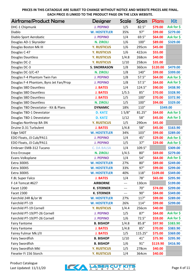| <b>Airframe/Product Name</b>           | <b>Designer</b>     | <b>Scale</b> | Span    | <b>Plans</b> | Kit                   |
|----------------------------------------|---------------------|--------------|---------|--------------|-----------------------|
| DHC-1 Chipmunk                         | <b>J. PEPINO</b>    | 1/5          | 82.5"   | \$79.00      | Ask for \$            |
| Diablo                                 | <b>W. HOSTETLER</b> | 35%          | 97"     | \$99.00      | \$279.00              |
| Diablo Sport Aerobatic                 | <b>J. PEPINO</b>    | 1/4          | 69.5"   | \$64.00      | Ask for \$            |
| Douglas AD-1 Skyraider                 | <b>N. ZIROLI</b>    | 1/6          | 100"    | \$89.00      | \$329.00              |
| Douglas Boston Mk III                  | <b>Y. RUSTICUS</b>  | 1/6          | 295cm   | \$45.00      |                       |
| Douglas C-47                           | <b>Y. RUSTICUS</b>  | 1/6          | 422cm   | \$55.00      |                       |
| Douglas Dauntless                      | <b>Y. RUSTICUS</b>  | 1/4.8        | 268cm   | \$40.00      |                       |
| Douglas DC-2                           | <b>Y. RUSTICUS</b>  | 1/10         | 258cm   | \$35.00      |                       |
| Douglas DC-3                           | <b>S. SNORRASON</b> | 1/8          | 360cm   | \$120.00     | \$479.00              |
| Douglas DC-3/C-47                      | <b>N. ZIROLI</b>    | 1/8          | 140"    | \$99.00      | \$399.00              |
| Douglas F-4 Phantom Twin Fan           | <b>J. PEPINO</b>    | 1/8          | 57.5"   | \$64.00      | Ask for \$            |
| Douglas F-4 Phantom, Byro Jet Fan/Prop | <b>J. PEPINO</b>    | 1/8          | 57.5"   | \$64.00      | Ask for \$            |
| Douglas SBD Dauntless                  | <b>J. BATES</b>     | 1/4          | 124.5"  | \$90.00      | \$438.90              |
| Douglas SBD Dauntless                  | <b>J. BATES</b>     | 1/5.5        | 85"     | \$70.00      | \$328.90              |
| Douglas SBD Dauntless                  | <b>J. BATES</b>     | 1/5          | 100"    | \$70.00      | \$372.90              |
| Douglas SBD Dauntless                  | <b>N. ZIROLI</b>    | 1/5          | 100"    | \$94.00      | \$329.00              |
| Douglas TBD Devastator - Kit & Plans   | <b>DYNAMIC</b>      | 18%          | 110"    |              | \$349.00              |
| Douglas TBD-1 Devestator               | <b>D. KATZ</b>      | 15/8"        | 81.25"  | \$64.00      | Ask for \$            |
| Douglas TBD-1 Devestator               | <b>D. KATZ</b>      | 1/12         | 58"     | \$45.00      | Ask for \$            |
| Douglas-Northrop 8A-3N                 | <b>Y. RUSTICUS</b>  | 1/5          | 290cm   | \$45.00      |                       |
| Druine D.31 Turbulent                  | <b>J. BATES</b>     | 1/4.8        | 58"     | \$45.00      | \$163.90              |
| Edge 540T                              | <b>W. HOSTETLER</b> | 34%          | 103"    | \$99.00      | \$289.00              |
| EDO Floats, J3 Cub/PA11                | <b>J. PEPINO</b>    | 1/4          | 45"     | \$29.00      | Ask for \$            |
| EDO Floats, J3 Cub/PA11                | <b>J. PEPINO</b>    | 1/5          | 37"     | \$29.00      | Ask for \$            |
| Embraer EMB-312 Tucano                 | <b>C. DA BALSA</b>  | 1/4          | 109.5"  |              | \$309.00              |
| Erco Ercoupe                           | <b>N. ZIROLI</b>    | 1/4.5        | 80"     | \$69.00      | \$279.00              |
| Evans Volksplane                       | <b>J. PEPINO</b>    | 1/4          | 54"     | \$64.00      | Ask for \$            |
| Extra 300XS                            | <b>W. HOSTETLER</b> | 27%          | 80"     | \$89.00      | \$249.00              |
| Extra 300XS                            | <b>W. HOSTETLER</b> | 33%          | 97"     | \$99.00      | \$299.00              |
| Extra 300XS                            | <b>W. HOSTETLER</b> | 40%          | 118"    | \$109.00     | \$349.00              |
| F.8L Super Falco                       | <b>J. BATES</b>     | 1/4          | 78"     | \$65.00      | \$295.90              |
| F-14 Tomcat #627                       | <b>AIRBORNE</b>     | $---$        | 130cm   |              | \$199.00              |
| Facet 1200                             | <b>K. STERNER</b>   | $---$        | 70"     | \$74.00      | \$299.00              |
| Facet 2300                             | <b>K. STERNER</b>   | $---$        | 90"     | \$84.00      | \$349.00              |
| Fairchild 24R &/or W                   | <b>W. HOSTETLER</b> | 27%          | 117"    | \$99.00      | \$289.00              |
| Fairchild PT-19                        | <b>W. HOSTETLER</b> | 26%          | 114"    | \$99.00      | \$299.00              |
| Fairchild PT-19 Cornell                | <b>Y. RUSTICUS</b>  | 1/4.4        | 256cm   | \$40.00      |                       |
| Fairchild PT-19/PT-26 Cornell          | <b>J. PEPINO</b>    | 1/5          | 87"     | \$64.00      | Ask for \$            |
| Fairchild PT-19/PT-26 Cornell          | <b>J. PEPINO</b>    | 1/6          | 72.5"   | \$59.00      | Ask for $\frac{1}{2}$ |
| <b>Fairy Fantome</b>                   | <b>B. BISHOP</b>    | 1/4.8        | 85.8"   | \$97.90      | \$383.90              |
| <b>Fairy Fantome</b>                   | <b>J. BATES</b>     | 1/4.8        | 85"     | \$70.00      | \$383.90              |
| Fairey Fulmar Mk.I/II                  | <b>J. BATES</b>     | 1/5          | 115.25" | \$75.00      | \$369.00              |
| Fairy Swordfish                        | <b>B. BISHOP</b>    | 1/10         | 41"     | \$75.90      | \$295.90              |
| Fairy Swordfish                        | <b>B. BISHOP</b>    | 1/6          | 91"     | \$119.90     | \$416.90              |
| Fairy Swordfish MkI                    | <b>Y. RUSTICUS</b>  | 1/5          | 278cm   | \$40.00      |                       |
| Fieseler Fi 156 Storch                 | <b>Y. RUSTICUS</b>  | 1/4          | 364cm   | \$40.00      |                       |

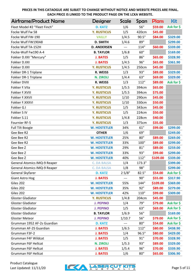| <b>Airframe/Product Name</b>        | <b>Designer</b>     | Scale  | Span   | <b>Plans</b> | Kit        |
|-------------------------------------|---------------------|--------|--------|--------------|------------|
| Fleet Model #2 "Fleet Finch"        | <b>D. KATZ</b>      | 1/6    | 56"    | \$59.00      | Ask for \$ |
| Focke Wulf Fw 58                    | <b>Y. RUSTICUS</b>  | 1/5    | 420cm  | \$45.00      |            |
| Focke Wulf FW-190                   | <b>VAILLY</b>       | 1/4.5  | 90.5"  | \$84.00      | \$329.00   |
| Focke Wulf FW190A8                  | <b>D. SMITH</b>     | 1/4.6  | 89"    |              | \$299.00   |
| Focke Wulf TA-152H                  | <b>D. ANDERSEN</b>  |        | 114"   | \$60.00      | \$339.00   |
| Focke-Wulf Fw190 A-4                | <b>B. TAYLOR</b>    | 1/6.8  | 60"    |              | \$169.00   |
| Fokker D.XXI "Mercury"              | <b>J. BATES</b>     | 1/5    | 86"    | \$65.00      | \$328.90   |
| Fokker D.XXI                        | <b>J. BATES</b>     | 1/4.5  | 96"    | \$65.00      | \$361.90   |
| Fokker D.XXI                        | <b>Y. RUSTICUS</b>  | 1/4.5  | 250cm  | \$45.00      |            |
| Fokker DR-1 Triplane                | R. WEISS            | 1/3    | 93"    | \$89.00      | \$329.00   |
| Fokker DR-1 Triplane                | <b>N. ZIROLI</b>    | 1/4.4  | 63"    | \$69.00      | \$329.00   |
| Fokker DVIII                        | R. WEISS            | 1/3    | 112"   | \$89.00      | Ask for \$ |
| Fokker F.VIIa                       | <b>Y. RUSTICUS</b>  | 1/5.5  | 394cm  | \$65.00      |            |
| Fokker F.XVIII                      | <b>Y. RUSTICUS</b>  | 1/5.5  | 394cm  | \$75.00      |            |
| Fokker F.XXVII                      | <b>Y. RUSTICUS</b>  | 1/10   | 290cm  | \$45.00      |            |
| Fokker F.XXXVI                      | <b>Y. RUSTICUS</b>  | 1/10   | 330cm  | \$50.00      |            |
| Fokker G.I                          | <b>Y. RUSTICUS</b>  | 1/5    | 343cm  | \$45.00      |            |
| Fokker S IV                         | <b>Y. RUSTICUS</b>  | 1/5    | 224cm  | \$50.00      |            |
| Fokker S.11                         | <b>Y. RUSTICUS</b>  | 1/4.8  | 228cm  | \$40.00      |            |
| Fournier RF-5                       | <b>Y. RUSTICUS</b>  | 1/3    | 375cm  | \$35.00      |            |
| <b>Full Tilt Boogie</b>             | <b>W. HOSTETLER</b> | 34%    | 61"    | \$99.00      | \$299.00   |
| Gee Bee R2                          | <b>OTHER</b>        | 1/6    | 69"    |              | \$249.00   |
| Gee Bee R2                          | <b>W. HOSTETLER</b> | 25%    | 80"    | \$89.00      | \$269.00   |
| Gee Bee R2                          | <b>W. HOSTETLER</b> | 33%    | 100"   | \$89.00      | \$299.00   |
| Gee Bee Z                           | <b>W. HOSTETLER</b> | 29%    | 81"    | \$89.00      | \$259.00   |
| Gee Bee Z                           | <b>W. HOSTETLER</b> | 33%    | 93"    | \$99.00      | \$299.00   |
| Gee Bee Z                           | <b>W. HOSTETLER</b> | 40%    | 112"   | \$109.00     | \$339.00   |
| General Atomics IMQ-9 Reaper        | <b>C. DA BALSA</b>  | 1/4    | 173.3" |              | \$399.00   |
| <b>General Atomics IMQ-9 Reaper</b> | <b>C. DA BALSA</b>  | 1/8    | 98"    |              | \$299.00   |
| General Skyfarer                    | <b>D. KATZ</b>      | 25/8"  | 82.5"  | \$54.00      | Ask for \$ |
| Giant Astro Hog                     | <b>J. BATES</b>     | $---$  | 90"    | \$55.00      | \$317.90   |
| Giles 202                           | <b>W. HOSTETLER</b> | 55%    | 144"   | \$109.00     | \$369.00   |
| Giles 202                           | <b>W. HOSTETLER</b> | 35%    | 92"    | \$89.00      | \$279.00   |
| Giles 202                           | <b>W. HOSTETLER</b> | 42%    | 110"   | \$99.00      | \$309.00   |
| <b>Gloster Gladiator</b>            | <b>Y. RUSTICUS</b>  | 1/4.8  | 204cm  | \$45.00      |            |
| <b>Gloster Gladiator</b>            | <b>J. PEPINO</b>    | 1/4    | 79"    | \$79.00      | Ask for \$ |
| <b>Gloster Gladiator</b>            | <b>J. PEPINO</b>    | 1/5    | 63"    | \$69.00      | Ask for \$ |
| Gloster Gladiator                   | <b>B. TAYLOR</b>    | 1/6.9  | 56"    |              | \$169.00   |
| <b>Gloster Meteor</b>               | <b>J. PEPINO</b>    | 1/10.7 | 56"    | \$79.00      | Ask for \$ |
| Grumman 1952 AF-2s Guardian         | <b>D. KATZ</b>      | $---$  | 80"    | \$54.00      | Ask for \$ |
| Grumman AF-2S Guardian              | <b>J. BATES</b>     | 1/6.5  | 112"   | \$80.00      | \$438.90   |
| Grumman F3F-2                       | <b>J. BATES</b>     | 1/4    | 96.5"  | \$80.00      | \$429.00   |
| Grumman F4F Wildcat                 | <b>J. BATES</b>     | 1/5    | 91"    | \$70.00      | \$328.90   |
| Grumman F6F Hellcat                 | <b>N. ZIROLI</b>    | 1/5.3  | 93"    | \$89.00      | \$329.00   |
| Grumman F6F Hellcat                 | <b>J. BATES</b>     | 1/5.4  | 96"    | \$70.00      | \$339.90   |
| Grumman F6F Hellcat                 | <b>J. BATES</b>     | 1/6    | 80"    | \$65.00      | \$306.90   |

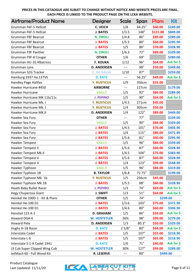| <b>Airframe/Product Name</b>    | <b>Designer</b>     | <b>Scale</b> | Span   | <b>Plans</b> | Kit        |
|---------------------------------|---------------------|--------------|--------|--------------|------------|
| Grumman F6F-5 Hellcat           | <b>C. VEICH</b>     | 1/8          | 64.25" | \$60.00      | \$249.00   |
| Grumman F6F-5 Hellcat           | <b>J. BATES</b>     | 1/3.5        | 148"   | \$121.00     | \$849.00   |
| Grumman F8F Bearcat             | <b>N. ZIROLI</b>    | 1/4.8        | 86"    | \$89.00      | \$289.00   |
| <b>Grumman F8F Bearcat</b>      | <b>J. BATES</b>     | 1/5.5        | 80"    | \$60.00      | \$295.90   |
| Grumman F8F Bearcat             | <b>J. BATES</b>     | 1/5          | 86"    | \$70.00      | \$328.90   |
| Grumman F9F Panther             | <b>N. ZIROLI</b>    | 1/6.3        | 72"    | \$89.00      | \$329.00   |
| Grumman F9F-8 Cougar            | <b>OTHER</b>        | 1/6          | 69"    |              | \$289.00   |
| Grumman HU-16 Albatross         | <b>F. KOUKA</b>     | 1/12         | 96"    | \$64.00      | Ask for \$ |
| Grumman Lynx                    | <b>D. ANDERSEN</b>  | $---$        | 98"    | \$50.00      | \$349.00   |
| Grumman S2G Tracker             | <b>C. DA BALSA</b>  | 1/10         | 87"    |              | \$259.00   |
| Hamburg 1937 Ha.137VS           | <b>D. KATZ</b>      | $---$        | 56.25" | \$49.00      | Ask for \$ |
| Handley Page Halifax            | <b>Y. RUSTICUS</b>  | 1/9          | 356cm  | \$55.00      |            |
| Hawker Hurricane #450           | <b>AIRBORNE</b>     | $---$        | 127cm  |              | \$179.00   |
| Hawker Hurricane                | <b>VAILLY</b>       | 1/5          | 92"    | \$84.00      | \$289.00   |
| Hawker Hurricane MK 11b/11c     | <b>J. PEPINO</b>    | 1/5          | 90"    | \$64.00      | Ask for \$ |
| Hawker Hurricane Mk. I          | <b>Y. RUSTICUS</b>  | 1/4.5        | 271cm  | \$45.00      |            |
| Hawker Hurricane Mk. I          | <b>Y. RUSTICUS</b>  | 1/4          | 305cm  | \$50.00      |            |
| Hawker Hurricane MK.II          | <b>D. ANDERSEN</b>  | 1/4          | 122"   | \$89.00      | \$449.00   |
| Hawker Sea Fury                 | <b>OTHER</b>        | $---$        | 77"    |              | \$239.00   |
| Hawker Sea Fury                 | <b>VAILLY</b>       | 1/5          | 90"    | \$84.00      | \$329.00   |
| Hawker Sea Fury                 | <b>J. BATES</b>     | 1/4.5        | 101"   | \$70.00      | \$405.90   |
| Hawker Sea Fury                 | <b>J. BATES</b>     | 1/4          | 115"   | \$80.00      | \$471.90   |
| Hawker Sea Fury                 | <b>J. BATES</b>     | 1/5.6        | 81"    | \$60.00      | \$295.90   |
| Hawker Tempest                  | <b>VAILLY</b>       | 1/5          | 96"    | \$84.00      | \$339.00   |
| Hawker Tempest II               | <b>J. BATES</b>     | 1/5.6        | 87"    | \$60.00      | \$328.90   |
| Hawker Tempest Mk.II            | <b>J. BATES</b>     | 1/4.5        | 104"   | \$75.00      | \$383.90   |
| Hawker Tempest V                | <b>J. BATES</b>     | 1/5.6        | 87"    | \$60.00      | \$328.90   |
| Hawker Tempest V                | <b>J. BATES</b>     | 1/4          | 123"   | \$99.00      | \$548.90   |
| Hawker Typhoon                  | <b>VAILLY</b>       | 1/5          | 96"    | \$84.00      | \$319.00   |
| Hawker Typhoon 1B               | <b>B. TAYLOR</b>    | 1/6.8        | 72.75" |              | \$199.00   |
| Hawker Typhoon Mk. 1b           | <b>Y. RUSTICUS</b>  | 1/5          | 256cm  | \$45.00      |            |
| Hawker Typhoon Mk.1B            | <b>J. BATES</b>     | 1/5.5        | 88"    | \$60.00      | \$328.90   |
| <b>Heath Baby Bullet Racer</b>  | <b>J. PEPINO</b>    | 1/3          | 74"    | \$69.00      | Ask for \$ |
| Hegy Chuperosa Giant            | <b>J. SWIFT</b>     | 1/3          | 51"    | \$64.00      | Ask for \$ |
| Heinkel He 100D-1 - Kit & Plans | <b>OTHER</b>        | 1/5          | 74"    |              | \$299.00   |
| Heinkel He-100 D1               | <b>J. BATES</b>     | 1/3.6        | 103"   | \$75.00      | \$372.90   |
| Heinkel He-100 D1               | <b>J. BATES</b>     | 1/4.6        | 80"    | \$60.00      | \$306.90   |
| Henshel 123 A-1                 | <b>D. GRAHAM</b>    | 1/5          | 86"    | \$59.00      | Ask for \$ |
| Howard DGA-6                    | <b>W. HOSTETLER</b> | 26%          | 98"    | \$99.00      | \$279.00   |
| <b>Howard Pete</b>              | <b>D. ANDERSEN</b>  | 1/3          | 80.3"  | \$50.00      | \$329.00   |
| Hughs H-1B Racer                | <b>D. KATZ</b>      | 25/8"        | 80"    | \$64.00      | Ask for \$ |
| <b>Interstate Cadet</b>         | <b>J. BATES</b>     | 1/5          | 107"   | \$55.00      | \$218.90   |
| Interstate L-6                  | <b>J. BATES</b>     | 1/5          | 107"   | \$65.00      | \$218.90   |
| Interstate S-1-A Cadet 1941     | <b>D. KATZ</b>      | 1/6          | 71"    | \$40.00      | Ask for \$ |
| J3 Cub Super Clipped Wing Cub   | <b>W. HOSTETLER</b> | 30%          | 127"   | \$99.00      | \$289.00   |
| JetMach 60 - Full Wood Kit      | R. LESERVE          | ---          | 80"    |              | \$499.00   |

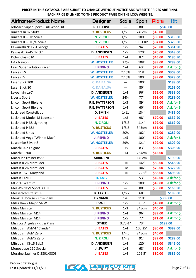| <b>Airframe/Product Name</b>        | Designer              | <b>Scale</b> | Span     | Plans    | Kit                   |
|-------------------------------------|-----------------------|--------------|----------|----------|-----------------------|
| JetMach Super Sport - Full Wood Kit | <b>R. LESERVE</b>     |              | 80"      | \$549.00 |                       |
| Junkers Ju 87 Stuka                 | <b>Y. RUSTICUS</b>    | 1/5.5        | 248cm    | \$45.00  |                       |
| Junkers JU-87B Stuka                | <b>N. ZIROLI</b>      | 1/5.3        | 100"     | \$89.00  | \$319.00              |
| Junkers JU-87D/G Stuka              | <b>N. ZIROLI</b>      | 1/5.3        | 100-110" | \$94.00  | \$329.00              |
| Kawanishi N1K2-J George             | <b>J. BATES</b>       | 1/5          | 94"      | \$70.00  | \$361.90              |
| Kawasaki Ki-45 "Nick"               | <b>D. ANDERSEN</b>    | 1/5          | 120"     | \$70.00  | \$349.00              |
| <b>Kitfox Classic IV</b>            | <b>J. BATES</b>       | 1/4          | 87"      | \$45.00  | \$196.90              |
| L-17 Navion                         | <b>W. HOSTETLER</b>   | 27%          | 108"     | \$99.00  | \$289.00              |
| Laird Super Solution Racer          | <b>J. PEPINO</b>      | 1/4          | 63"      | \$79.00  | Ask for \$            |
| Lancair ES                          | <b>W. HOSTETLER</b>   | 27.6%        | 118"     | \$99.00  | \$309.00              |
| Lancair IV                          | <b>W. HOSTETLER</b>   | 27.6%        | 100"     | \$99.00  | \$329.00              |
| Laser Stick 100                     | <b>C. DA BALSA</b>    | ---          | 100"     |          | \$189.00              |
| Laser Stick 80                      | <b>C. DA BALSA</b>    | ---          | 80"      |          | \$159.00              |
| Lavochkin La-7                      | <b>D. ANDERSEN</b>    | 1/4          | 96"      | \$65.00  | \$339.00              |
| <b>Liberty Sport</b>                | <b>W. HOSTETLER</b>   | 24%          | 77"      | \$99.00  | \$289.00              |
| Lincoln Sport Biplane               | <b>R.E. PATTERSON</b> | 1/3          | 89"      | \$69.00  | Ask for \$            |
| Lincoln Sport Biplane               | <b>R.E. PATTERSON</b> | 1/4          | 60"      | \$59.00  | Ask for \$            |
| <b>Lockheed Constellation</b>       | <b>D. SMITH</b>       | 1/11         | 134"     |          | \$489.00              |
| Lockheed Model 18 Lodestar          | <b>J. BATES</b>       | 1/8          | 98"      | \$70.00  | \$339.90              |
| Lockheed P-38 Lightning             | <b>N. ZIROLI</b>      | 1/5.3        | 114"     | \$99.00  | \$369.00              |
| Lockheed P-38J                      | <b>Y. RUSTICUS</b>    | 1/5.5        | 343cm    | \$55.00  |                       |
| <b>Lockheed Sirius</b>              | <b>W. HOSTETLER</b>   | 20%          | 102"     | \$99.00  | \$289.00              |
| Lockheed Vega "Winnie Mae"          | <b>J. PEPINO</b>      | 1/5          | 100"     | \$79.00  | Ask for \$            |
| Luscombe Silvair 8                  | <b>W. HOSTETLER</b>   | 29%          | 121"     | \$99.00  | \$309.00              |
| Macchi 202 Folgore                  | <b>J. BATES</b>       | 1/5          | 83"      | \$65.00  | \$306.90              |
| Macchi C.200                        | <b>Y. RUSTICUS</b>    | 1/4          | 264cm    | \$45.00  |                       |
| Macci Jet Trainer #556              | <b>AIRBORNE</b>       | $---$        | 140cm    |          | \$199.00              |
| <b>Martin B-26 Marauder</b>         | <b>J. BATES</b>       | 1/6          | 142"     | \$80.00  | \$548.90              |
| Martin B-26 Marauder                | <b>J. BATES</b>       | 1/8          | 106"     | \$70.00  | \$372.90              |
| Martin 167F Maryland                | <b>J. BATES</b>       | 1/6          | 122.5"   | \$88.00  | \$493.90              |
| Martin T4M-1                        | <b>D. KATZ</b>        |              | 53"      | \$49.00  | Ask for \$            |
| ME-109 Warbird                      | <b>J. PEPINO</b>      | 1/5          | 100"     | \$49.00  | Ask for \$            |
| Mel Whitley's Sport 300 II          | <b>J. BATES</b>       | ---          | 80"      | \$50.00  | \$163.90              |
| Messerschmitt Bf109E                | <b>B. TAYLOR</b>      | 1/5.7        | 68"      |          | \$189.00              |
| Me-410 Hornise - Kit & Plans        | <b>DYNAMIC</b>        | 1/6          | 110"     |          | \$369.00              |
| Miles Hawk Major M2W                | <b>J. SWIFT</b>       | 1/5          | 80.5"    | \$49.00  | Ask for $\frac{1}{2}$ |
| <b>Miles Magister</b>               | <b>Y. RUSTICUS</b>    | 1/3          | 345cm    | \$40.00  |                       |
| Miles Magister M14                  | <b>J. PEPINO</b>      | 1/4          | 96"      | \$89.00  | Ask for $\frac{1}{2}$ |
| Miles Magister M14                  | <b>J. PEPINO</b>      | 1/5          | 77"      | \$72.00  | Ask for \$            |
| Miss Los Angeles - Kit & Plans      | <b>OTHER</b>          | $3.75 - 1"$  | 73"      |          | \$199.00              |
| Mitsubishi A5M4 "Claude"            | <b>J. BATES</b>       | 1/4          | 100.25"  | \$80.00  | \$399.00              |
| Mitsubishi A6M Zero                 | <b>Y. RUSTICUS</b>    | 1/4.5        | 245cm    | \$40.00  |                       |
| Mitsubishi A6M5 Zero                | <b>N. ZIROLI</b>      | 1/4.8        | 91"      | \$89.00  | \$289.00              |
| Mitsubishi KI-15 BabS               | <b>D. ANDERSEN</b>    | 1/4          | 120"     | \$65.00  | \$349.00              |
| Monocoupe 110 Special               | <b>J. SWIFT</b>       | 1/4          | 68"      | \$59.00  | Ask for \$            |
| Moraine Saulnier D.3801/3803        | <b>J. BATES</b>       | 1/4          | 106.5"   | \$80.00  | \$389.00              |

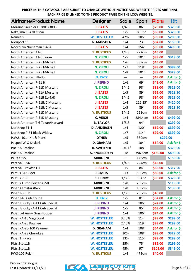| <b>Airframe/Product Name</b>     | Designer            | Scale       | Span    | <b>Plans</b> | Kit        |
|----------------------------------|---------------------|-------------|---------|--------------|------------|
| Moraine Saulnier D.3801/3803     | <b>J. BATES</b>     | 1/4.8       | 86"     | \$70.00      | \$328.90   |
| Nakajima Ki-43II Oscar           | <b>J. BATES</b>     | 1/5         | 85.35"  | \$60.00      | \$329.00   |
| <b>Nemesis</b>                   | <b>W. HOSTETLER</b> | 42%         | 105"    | \$99.00      | \$289.00   |
| Nieuport 11                      | <b>G. MARSDEN</b>   | 1/4         | 73"     | \$84.00      | \$159.00   |
| Noorduyn Norseman C-46A          | <b>J. BATES</b>     | 1/4         | 154"    | \$99.00      | \$499.00   |
| North American AT-6              | <b>Y. RUSTICUS</b>  | 1/4.8       | 272cm   | \$45.00      |            |
| North American AT-6 Texan        | <b>N. ZIROLI</b>    | 1/5         | 101"    | \$89.00      | \$319.00   |
| North American B-25 Mitchell     | <b>Y. RUSTICUS</b>  | 1/6         | 339cm   | \$45.00      |            |
| North American B-25 Mitchell     | <b>N. ZIROLI</b>    | 1/7         | 118"    | \$99.00      | \$389.00   |
| North American B-25 Mitchell     | <b>N. ZIROLI</b>    | 1/8         | 101"    | \$89.00      | \$329.00   |
| North American NA-35             | <b>D. KATZ</b>      | $---$       | ---     | \$49.00      | Ask for \$ |
| North American P-51 H            | <b>J. PEPINO</b>    | 1/6         | 69"     | \$49.00      | Ask for \$ |
| North American P-51D Mustang     | <b>N. ZIROLI</b>    | 1/4.6       | 98"     | \$89.00      | \$319.00   |
| North American P-51A Mustang     | <b>J. BATES</b>     | 1/5         | 89"     | \$65.00      | \$328.90   |
| North American P-51B {1/4.6}     | <b>N. ZIROLI</b>    | 1/4.6       | 98"     | \$94.00      | \$329.00   |
| North American P-51B/C Mustang   | <b>J. BATES</b>     | 1/4         | 112.25" | \$80.00      | \$420.00   |
| North American P-51B/C Mustang   | <b>J. BATES</b>     | 1/5         | 89"     | \$65.00      | \$328.90   |
| North American P-51D Mustang     | <b>Y. RUSTICUS</b>  | 1/4.5       | 251cm   | \$55.00      |            |
| North American P-51D Mustang     | <b>C. VEICH</b>     | 1/4         | 284.4cm | \$80.00      | \$499.00   |
| North American T-6 Texan/Harvard | <b>B. TAYLOR</b>    | 1/5.3       | 94"     |              | \$299.00   |
| Northrop BT-1                    | <b>D. ANDERSEN</b>  | 1/4         | 120"    | \$69.00      | \$399.00   |
| Northrop P-61 Black Widow        | <b>N. ZIROLI</b>    | 1/7         | 114"    | \$99.00      | \$399.00   |
| P.W.S. 101 - Kit & Plans         | <b>OTHER</b>        | 1/5         | 380cm   |              | \$299.00   |
| Pasped W-Q Skylark               | <b>D. GRAHAM</b>    | 1/5         | 104"    | \$64.00      | Ask for \$ |
| PBY-5A Catalina                  | <b>R. SWEITZER</b>  | $1.04 - 1"$ | 108"    |              | \$329.00   |
| PBY-5A Catalina                  | <b>S. SNORRASON</b> | 1/8         | 396.5cm | \$130.00     | \$499.00   |
| PC-9 #555                        | <b>AIRBORNE</b>     | ---         | 146cm   |              | \$159.00   |
| Percival P.56                    | <b>Y. RUSTICUS</b>  | 1/4.8       | 224cm   | \$45.00      |            |
| Percival Provost T.1             | <b>J. BATES</b>     | 1/5         | 84"     | \$65.00      | \$317.90   |
| Pilatus B4 Glider                | <b>J. SMITS</b>     | 1/3         | 500cm   | \$80.00      | Ask for \$ |
| Pilatus PC-9                     | <b>C. HENRY</b>     | 1/3.8       | 104.5"  | \$90.00      | \$379.00   |
| Pilatus Turbo Porter #550        | <b>AIRBORNE</b>     | 1/8         | 200cm   |              | \$119.00   |
| Piper Aerostar #622              | <b>AIRBORNE</b>     | 1/8         | 168cm   |              | \$139.00   |
| Piper J-3 Cub                    | <b>Y. RUSTICUS</b>  | 1/3.8       | 285cm   | \$40.00      |            |
| Piper J-4E Cub Coupe             | <b>D. KATZ</b>      | 1/5         | 81"     | \$54.00      | Ask for \$ |
| Piper J3 Cub/PA-11 Cub Special   | <b>J. PEPINO</b>    | 1/4         | 106"    | \$74.00      | Ask for \$ |
| Piper J3 Cub/PA-11 Cub Special   | <b>J. PEPINO</b>    | 1/5         | 85"     | \$69.00      | Ask for \$ |
| Piper L-4 Army Grasshopper       | <b>J. PEPINO</b>    | 1/4         | 106"    | \$74.00      | Ask for \$ |
| Piper PA-15 Vagabond             | <b>W. HOSTETLER</b> | 32.5%       | 114"    | \$99.00      | \$299.00   |
| Piper PA-25 Pawnee               | <b>W. HOSTETLER</b> | 27.5%       | 119"    | \$99.00      | \$299.00   |
| Piper PA-25-100 Pawnee           | <b>D. GRAHAM</b>    | 1/4         | 108"    | \$64.00      | Ask for \$ |
| Piper PA-28 Cherokee             | <b>W. HOSTETLER</b> | 30%         | 108"    | \$99.00      | \$329.00   |
| Piper Tri-Pacer                  | <b>W. HOSTETLER</b> | 33%         | 115"    | \$99.00      | \$299.00   |
| Pitts S-1-11B                    | <b>W. HOSTETLER</b> | 35%         | 75"     | \$89.00      | \$299.00   |
| Pitts S-1-11B                    | <b>W. HOSTETLER</b> | 45%         | 97"     | \$109.00     | \$349.00   |
| PWS-102 Rekin                    | <b>Y. RUSTICUS</b>  | 1/4         | 475cm   | \$40.00      |            |

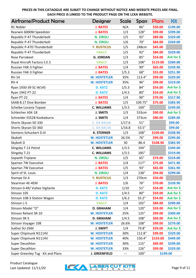| <b>Airframe/Product Name</b>       | <b>Designer</b>      | Scale  | Span    | <b>Plans</b> | <b>Kit</b> |
|------------------------------------|----------------------|--------|---------|--------------|------------|
| <b>RC Nobler</b>                   | <b>J. BATES</b>      | N/A    | 86"     | \$50.00      | \$199.00   |
| Rearwin 6000M Speedster            | <b>J. BATES</b>      | 1/3    | 128"    | \$99.00      | \$399.00   |
| Republic P-47 Thunderbolt          | <b>N. ZIROLI</b>     | 1/5    | 92"     | \$89.00      | \$329.00   |
| Republic P-47 Thunderbolt          | <b>N. ZIROLI</b>     | 1/6    | 70"     | \$84.00      | \$269.00   |
| Republic P-47D Thunderbolt         | <b>Y. RUSTICUS</b>   | 1/5    | 248cm   | \$45.00      |            |
| Republic P-47 Thunderbolt          | <b>VAILLY</b>        | 1/5    | 92"     | \$84.00      | \$329.00   |
| Rose Parrakeet                     | <b>G. JORDAN</b>     | 1/3    | 85"     | \$54.00      | Ask for \$ |
| Royal Aircraft Factory S.E.5       | <b>VAILLY</b>        | 1/3    | 108"    | \$119.00     | \$269.00   |
| Russian YAK-3 Fighter              | <b>J. BATES</b>      | 1/4    | 90"     | \$65.00      | \$339.90   |
| Russian YAK-3 Fighter              | <b>J. BATES</b>      | 1/5.3  | 68"     | \$55.00      | \$251.90   |
| <b>RV-14</b>                       | <b>W. HOSTETLER</b>  | 35%    | 113.4"  | \$99.00      | \$329.00   |
| $RV-4$                             | <b>W. HOSTETLER</b>  | 35%    | 96"     | \$99.00      | \$319.00   |
| Ryan 1930-39 SC-W145               | <b>D. KATZ</b>       | 1/5.3  | 84"     | \$54.00      | Ask for \$ |
| Ryan 1942 PT-22                    | <b>D. KATZ</b>       | 1/4.5  | 80"     | \$54.00      | Ask for \$ |
| Ryan PT-22                         | <b>J. BATES</b>      | 1/4    | 90"     | \$70.00      | \$317.90   |
| SAAB B.17 Dive Bomber              | <b>J. BATES</b>      | 1/5    | 109.75" | \$75.00      | \$383.90   |
| Scheibe-Loravia Topaze             | <b>C. WILLIAMS</b>   | 1/3.5  | 169"    |              | \$249.00   |
| Schleicher ASK-18                  | <b>J. SMITS</b>      | 1/3    | 533cm   | \$90.00      | Ask for \$ |
| Schneider ES52B Kookaburra         | <b>J. SMITS</b>      | 1/4    | 373cm   | \$80.00      | \$289.00   |
| Shorts Skyvan SD 330               | <b>C. DA BALSA</b>   | 1/17.6 | 51"     |              | \$99.00    |
| Shorts Skyvan SD 360               | <b>C. DA BALSA</b>   | 1/16.8 | 53.5"   |              | \$99.00    |
| Siemens-Schuckert D.III            | <b>K. STERNER</b>    | 1/3    | 108"    | \$109.00     | \$328.90   |
| Skybolt                            | <b>W. HOSTETLER</b>  | 26.5%  | 76"     | \$99.00      | \$299.00   |
| Skybolt D                          | <b>W. HOSTETLER</b>  | 30     | 86.4    | \$108.90     | \$383.90   |
| Slingsby T-13 Petrel               | <b>C. WILLIAMS</b>   | 1/3.5  | 194"    |              | \$349.00   |
| Slingsby T-21                      | <b>C. WILLIAMS</b>   | 1/3.5  | 185"    |              | \$319.00   |
| Sopwith Triplane                   | <b>N. ZIROLI</b>     | 1/5    | 65"     | \$74.00      | \$319.00   |
| Spartan 7W Executive               | <b>J. BATES</b>      | 1/4    | 117"    | \$75.00      | \$471.90   |
| Spartan 7W Executive               | <b>J. BATES</b>      | 1/5    | 93"     | \$65.00      | \$361.90   |
| Spirit of St. Louis                | <b>N. ZIROLI</b>     | 1/4    | 138"    | \$94.00      | \$299.00   |
| Stampe SV.4                        | <b>Y. RUSTICUS</b>   | 1/3    | 270cm   | \$50.00      |            |
| Stearman 4E-4EM                    | <b>J. BATES</b>      | 1/6    | 76"     | \$70.00      | \$339.90   |
| Stinson 0-49/ Vultee Vigilante     | <b>D. KATZ</b>       | 1/10   | 51"     | \$54.00      | Ask for \$ |
| Stinson 105                        | <b>D. KATZ</b>       | 1/4.5  | 80"     | \$59.00      | Ask for \$ |
| Stinson 108-3 Station Wagon        | <b>D. KATZ</b>       | 1/6.2  | 55.2"   | \$54.00      | Ask for \$ |
| Stinson L-5                        | <b>VAILLY</b>        | 1/4    | 102"    | \$84.00      | \$299.00   |
| Stinson Model "O"                  | <b>D. GRAHAM</b>     | 1/4    | 120"    | \$59.00      | Ask for \$ |
| <b>Stinson Reliant SR-10</b>       | <b>W. HOSTETLER</b>  | 25%    | 125"    | \$99.00      | \$309.00   |
| Stinson SR-5                       | <b>D. GRAHAM</b>     | 1/4.5  | 108"    | \$69.00      | Ask for \$ |
| Stinson Voyager 108                | <b>W. HOSTETLER</b>  | 26.6%  | 108"    | \$99.00      | \$279.00   |
| Sukhoi SU-26M                      | <b>J. SWIFT</b>      | 1/4    | 79.8"   | \$59.00      | Ask for \$ |
| Super Chipmunk N1114V              | <b>W. HOSTETLER</b>  | 30%    | 112.8"  | \$99.00      | \$329.00   |
| Super Chipmunk N1114V              | <b>W. HOSTETLER</b>  | 40%    | 150.4"  | \$159.00     | \$449.00   |
| <b>Super Decathlon</b>             | <b>W. HOSTETLER</b>  | 30%    | 115"    | \$89.00      | \$299.00   |
| Super Decathlon                    | <b>W. HOSTETLER</b>  | 33%    | 126"    | \$99.00      | \$329.00   |
| Super Greenley Tug - Kit and Plans | <b>J. GREENFIELD</b> | ---    | 100"    |              | \$199.00   |

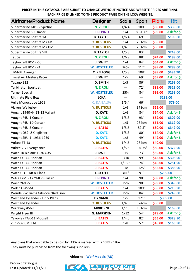| Airframe/Product Name               | Designer            | <b>Scale</b> | Span    | Plans   | Kit        |
|-------------------------------------|---------------------|--------------|---------|---------|------------|
| Supermarine Mk I-V Spitfire         | <b>N. ZIROLI</b>    | 1/4.4        | 100"    | \$89.00 | \$339.00   |
| Supermarine S6B Racer               | <b>J. PEPINO</b>    | 1/4          | 85-100" | \$99.00 | Ask for \$ |
| Supermarine Spitfire 1A             | <b>B. TAYLOR</b>    | 1/6.4        | 69"     |         | \$199.00   |
| Supermarine Spitfire Mk I-V         | <b>Y. RUSTICUS</b>  | 1/4          | 281cm   | \$55.00 |            |
| Supermarine Spitfire Mk XIV         | <b>Y. RUSTICUS</b>  | 1/4.5        | 251cm   | \$50.00 |            |
| <b>Supermarine Spitfire VIII</b>    | <b>B. TAYLOR</b>    | 1/5.3        | 83"     |         | \$249.00   |
| Taube                               | <b>N. ZIROLI</b>    | 1/6.9        | 88"     | \$74.00 | \$199.00   |
| Taylorcraft BC-12-65                | <b>J. SWIFT</b>     | 1/4          | 84"     | \$54.00 | Ask for \$ |
| Taylorcraft BC-12-D                 | <b>W. HOSTETLER</b> | 26%          | 112"    | \$99.00 | \$289.00   |
| TBM-3E Avenger                      | <b>C. KELLOGG</b>   | 1/5.8        | 108"    | \$99.00 | \$493.90   |
| Travel Air Mystery Racer            | <b>J. SWIFT</b>     | 1/5          | 69"     | \$59.00 | Ask for \$ |
| Tucano 312                          | <b>D. SMITH</b>     | 1/5          | 86"     |         | \$269.00   |
| <b>Turbinator Sport Jet</b>         | <b>N. ZIROLI</b>    | ---          | 72"     | \$89.00 | \$329.00   |
| <b>Turner Special</b>               | <b>W. HOSTETLER</b> | 25%          | 84"     | \$99.00 | \$259.00   |
| <b>Ultimate Field Box</b>           | <b>LCKA</b>         | ---          | ---     |         | \$189.00   |
| Velie Monocoupe 1929                | <b>C. DA BALSA</b>  | 1/5.4        | 66"     |         | \$79.00    |
| <b>Vickers Wellesley</b>            | <b>Y. RUSTICUS</b>  | 1/6          | 378cm   | \$55.00 |            |
| Vought 1940-44 BT-13 Valiant        | <b>D. KATZ</b>      | 1/6          | 84"     | \$64.00 | Ask for \$ |
| Vought F4U-1 Corsair                | <b>N. ZIROLI</b>    | 1/5.3        | 93"     | \$89.00 | \$309.00   |
| Vought F4U-1D Corsair               | <b>Y. RUSTICUS</b>  | 1/5          | 234cm   | \$55.00 | \$319.00   |
| Vought F4U-5 Corsair                | <b>J. BATES</b>     | 1/5.5        | 89.5"   | \$80.00 | \$349.00   |
| Vought OS2-U Kingfisher             | <b>D. KATZ</b>      | 1/5.3        | 80"     | \$64.00 | Ask for \$ |
| Vought SBU-1, 1936-1939             | <b>D. KATZ</b>      | 1/8          | 49"     | \$49.00 | Ask for \$ |
| Vultee BT-13                        | <b>Y. RUSTICUS</b>  | 1/4.5        | 284cm   | \$40.00 |            |
| Vultee V-72 Vengeance               | <b>J. BATES</b>     | 1/5.5        | 104.75" | \$80.00 | \$372.90   |
| Waco 10 Biplane 1930 OX5            | <b>J. SWIFT</b>     | 1/5          | 73"     | \$59.00 | Ask for \$ |
| Waco CG-4A Hadrian                  | <b>J. BATES</b>     | 1/10         | 99"     | \$45.00 | \$306.90   |
| Waco CG-4A Hadrian                  | <b>J. BATES</b>     | 1/13.5       | 74"     | \$40.00 | \$251.90   |
| Waco CG-4A Hadrian                  | <b>J. BATES</b>     | 1/8          | 125"    | \$55.00 | \$383.90   |
| Waco CTO - Kit & Plans              | L. SCOTT            | $3 = 1"$     | 91"     |         | \$299.00   |
| WACO YMF-3 / YMF-5 Classic          | <b>J. PEPINO</b>    | 1/4          | 90"     | \$89.00 | Ask for \$ |
| Waco YMF-5                          | <b>W. HOSTETLER</b> | 25%          | 90"     | \$99.00 | \$349.00   |
| Welch OW-5M                         | <b>J. BATES</b>     | 1/4          | 109"    | \$55.00 | \$218.90   |
| Wendell-Williams Gilmore "Red Lion" | <b>W. HOSTETLER</b> | 25%          | 84"     | \$99.00 | \$249.00   |
| Westland Lysander - Kit & Plans     | <b>DYNAMIC</b>      | 1/5          | 121"    |         | \$359.00   |
| Westland Lysander                   | <b>Y. RUSTICUS</b>  | 1/4.8        | 324cm   | \$50.00 |            |
| Wirraway #569                       | <b>AIRBORNE</b>     | 1/7.3        | 181cm   |         | \$169.00   |
| Wright Flyer III                    | <b>G. MARSDEN</b>   | 1/12         | 54"     | \$79.00 | Ask for \$ |
| Yakovlev YAK-11 Moose?              | <b>J. BATES</b>     | 1/4.5        | 82"     | \$55.00 | \$328.90   |
| Zlin Z-37 CMELAK                    | <b>J. BATES</b>     | 1/8          | 57"     | \$45.00 | \$163.90   |

Any plans that aren't able to be sold by LCKA is marked with a "**GREY"** Box. They must be purchased from the following suppliers………

**Airborne - [Wolf Models \(AU\)](http://www.wolfmodels.net/)**